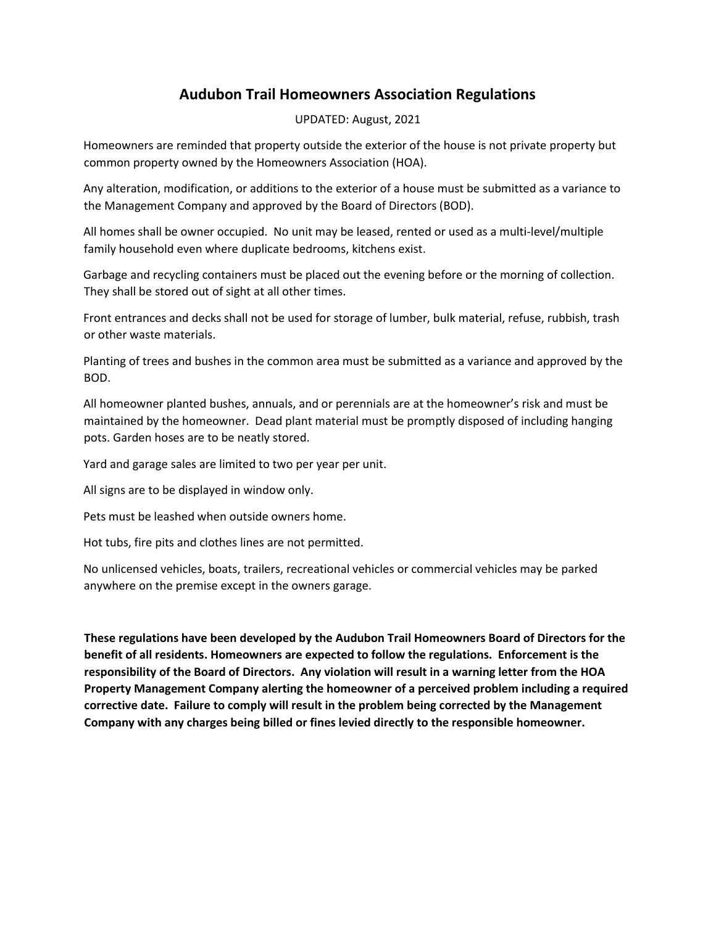## **Audubon Trail Homeowners Association Regulations**

## UPDATED: August, 2021

Homeowners are reminded that property outside the exterior of the house is not private property but common property owned by the Homeowners Association (HOA).

Any alteration, modification, or additions to the exterior of a house must be submitted as a variance to the Management Company and approved by the Board of Directors (BOD).

All homes shall be owner occupied. No unit may be leased, rented or used as a multi-level/multiple family household even where duplicate bedrooms, kitchens exist.

Garbage and recycling containers must be placed out the evening before or the morning of collection. They shall be stored out of sight at all other times.

Front entrances and decks shall not be used for storage of lumber, bulk material, refuse, rubbish, trash or other waste materials.

Planting of trees and bushes in the common area must be submitted as a variance and approved by the BOD.

All homeowner planted bushes, annuals, and or perennials are at the homeowner's risk and must be maintained by the homeowner. Dead plant material must be promptly disposed of including hanging pots. Garden hoses are to be neatly stored.

Yard and garage sales are limited to two per year per unit.

All signs are to be displayed in window only.

Pets must be leashed when outside owners home.

Hot tubs, fire pits and clothes lines are not permitted.

No unlicensed vehicles, boats, trailers, recreational vehicles or commercial vehicles may be parked anywhere on the premise except in the owners garage.

**These regulations have been developed by the Audubon Trail Homeowners Board of Directors for the benefit of all residents. Homeowners are expected to follow the regulations. Enforcement is the responsibility of the Board of Directors. Any violation will result in a warning letter from the HOA Property Management Company alerting the homeowner of a perceived problem including a required corrective date. Failure to comply will result in the problem being corrected by the Management Company with any charges being billed or fines levied directly to the responsible homeowner.**